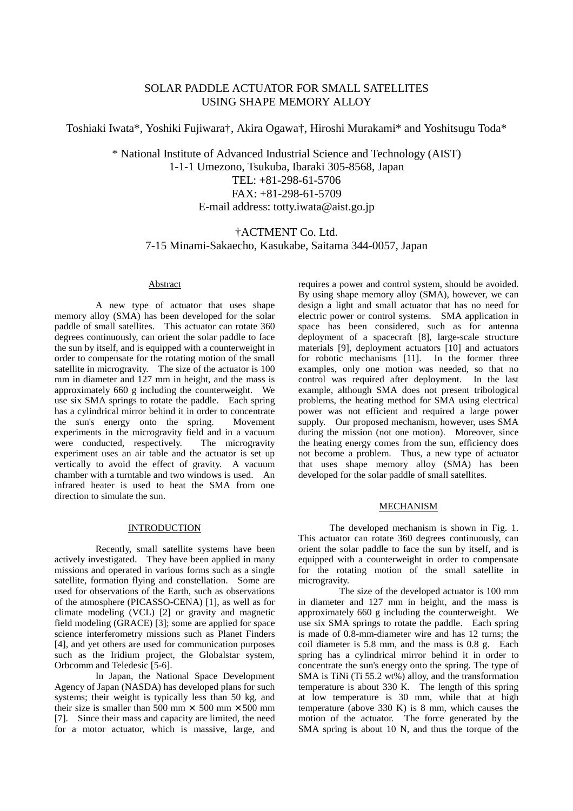# SOLAR PADDLE ACTUATOR FOR SMALL SATELLITES USING SHAPE MEMORY ALLOY

Toshiaki Iwata\*, Yoshiki Fujiwara†, Akira Ogawa†, Hiroshi Murakami\* and Yoshitsugu Toda\*

\* National Institute of Advanced Industrial Science and Technology (AIST) 1-1-1 Umezono, Tsukuba, Ibaraki 305-8568, Japan TEL: +81-298-61-5706 FAX: +81-298-61-5709 E-mail address: totty.iwata@aist.go.jp

# †ACTMENT Co. Ltd. 7-15 Minami-Sakaecho, Kasukabe, Saitama 344-0057, Japan

# Abstract

A new type of actuator that uses shape memory alloy (SMA) has been developed for the solar paddle of small satellites. This actuator can rotate 360 degrees continuously, can orient the solar paddle to face the sun by itself, and is equipped with a counterweight in order to compensate for the rotating motion of the small satellite in microgravity. The size of the actuator is 100 mm in diameter and 127 mm in height, and the mass is approximately 660 g including the counterweight. We use six SMA springs to rotate the paddle. Each spring has a cylindrical mirror behind it in order to concentrate the sun's energy onto the spring. Movement experiments in the microgravity field and in a vacuum were conducted, respectively. The microgravity experiment uses an air table and the actuator is set up vertically to avoid the effect of gravity. A vacuum chamber with a turntable and two windows is used. An infrared heater is used to heat the SMA from one direction to simulate the sun.

# **INTRODUCTION**

Recently, small satellite systems have been actively investigated. They have been applied in many missions and operated in various forms such as a single satellite, formation flying and constellation. Some are used for observations of the Earth, such as observations of the atmosphere (PICASSO-CENA) [1], as well as for climate modeling (VCL) [2] or gravity and magnetic field modeling (GRACE) [3]; some are applied for space science interferometry missions such as Planet Finders [4], and yet others are used for communication purposes such as the Iridium project, the Globalstar system, Orbcomm and Teledesic [5-6].

In Japan, the National Space Development Agency of Japan (NASDA) has developed plans for such systems; their weight is typically less than 50 kg, and their size is smaller than 500 mm  $\times$  500 mm  $\times$  500 mm [7]. Since their mass and capacity are limited, the need for a motor actuator, which is massive, large, and requires a power and control system, should be avoided. By using shape memory alloy (SMA), however, we can design a light and small actuator that has no need for electric power or control systems. SMA application in space has been considered, such as for antenna deployment of a spacecraft [8], large-scale structure materials [9], deployment actuators [10] and actuators for robotic mechanisms [11]. In the former three examples, only one motion was needed, so that no control was required after deployment. In the last example, although SMA does not present tribological problems, the heating method for SMA using electrical power was not efficient and required a large power supply. Our proposed mechanism, however, uses SMA during the mission (not one motion). Moreover, since the heating energy comes from the sun, efficiency does not become a problem. Thus, a new type of actuator that uses shape memory alloy (SMA) has been developed for the solar paddle of small satellites.

### MECHANISM

The developed mechanism is shown in Fig. 1. This actuator can rotate 360 degrees continuously, can orient the solar paddle to face the sun by itself, and is equipped with a counterweight in order to compensate for the rotating motion of the small satellite in microgravity.

The size of the developed actuator is 100 mm in diameter and 127 mm in height, and the mass is approximately 660 g including the counterweight. We use six SMA springs to rotate the paddle. Each spring is made of 0.8-mm-diameter wire and has 12 turns; the coil diameter is 5.8 mm, and the mass is 0.8 g. Each spring has a cylindrical mirror behind it in order to concentrate the sun's energy onto the spring. The type of SMA is TiNi (Ti 55.2 wt%) alloy, and the transformation temperature is about 330 K. The length of this spring at low temperature is 30 mm, while that at high temperature (above 330 K) is 8 mm, which causes the motion of the actuator. The force generated by the SMA spring is about 10 N, and thus the torque of the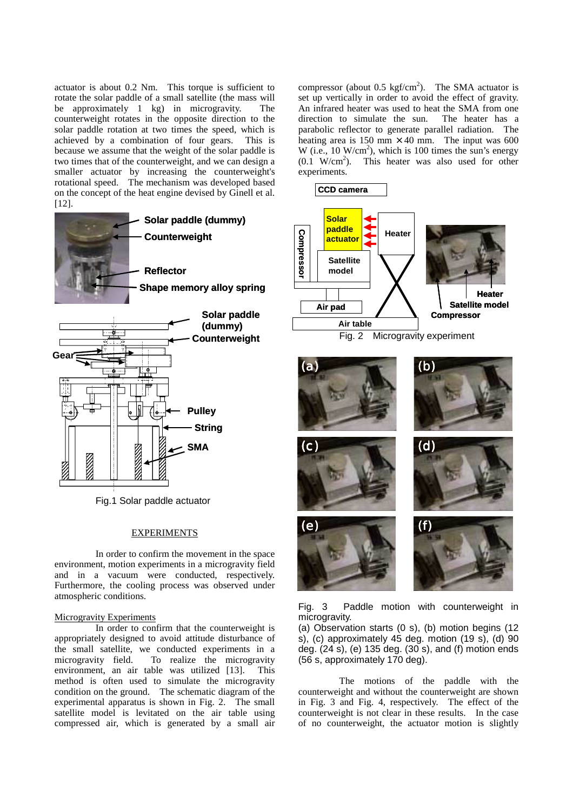actuator is about 0.2 Nm. This torque is sufficient to rotate the solar paddle of a small satellite (the mass will be approximately 1 kg) in microgravity. The counterweight rotates in the opposite direction to the solar paddle rotation at two times the speed, which is achieved by a combination of four gears. This is because we assume that the weight of the solar paddle is two times that of the counterweight, and we can design a smaller actuator by increasing the counterweight's rotational speed. The mechanism was developed based on the concept of the heat engine devised by Ginell et al. [12].



Fig.1 Solar paddle actuator

## EXPERIMENTS

In order to confirm the movement in the space environment, motion experiments in a microgravity field and in a vacuum were conducted, respectively. Furthermore, the cooling process was observed under atmospheric conditions.

## Microgravity Experiments

In order to confirm that the counterweight is appropriately designed to avoid attitude disturbance of the small satellite, we conducted experiments in a microgravity field. To realize the microgravity environment, an air table was utilized [13]. This method is often used to simulate the microgravity condition on the ground. The schematic diagram of the experimental apparatus is shown in Fig. 2. The small satellite model is levitated on the air table using compressed air, which is generated by a small air

compressor (about 0.5 kgf/cm<sup>2</sup>). The SMA actuator is set up vertically in order to avoid the effect of gravity. An infrared heater was used to heat the SMA from one direction to simulate the sun. The heater has a parabolic reflector to generate parallel radiation. The heating area is 150 mm  $\times$  40 mm. The input was 600 W (i.e.,  $10 \text{ W/cm}^2$ ), which is  $100$  times the sun's energy  $(0.1 \text{ W/cm}^2)$ . This heater was also used for other experiments.



Fig. 3 Paddle motion with counterweight in microgravity.

(a) Observation starts (0 s), (b) motion begins (12  $s$ ), (c) approximately 45 deg. motion (19 $s$ ), (d) 90 deg. (24 s), (e) 135 deg. (30 s), and (f) motion ends (56 s, approximately 170 deg).

The motions of the paddle with the counterweight and without the counterweight are shown in Fig. 3 and Fig. 4, respectively. The effect of the counterweight is not clear in these results. In the case of no counterweight, the actuator motion is slightly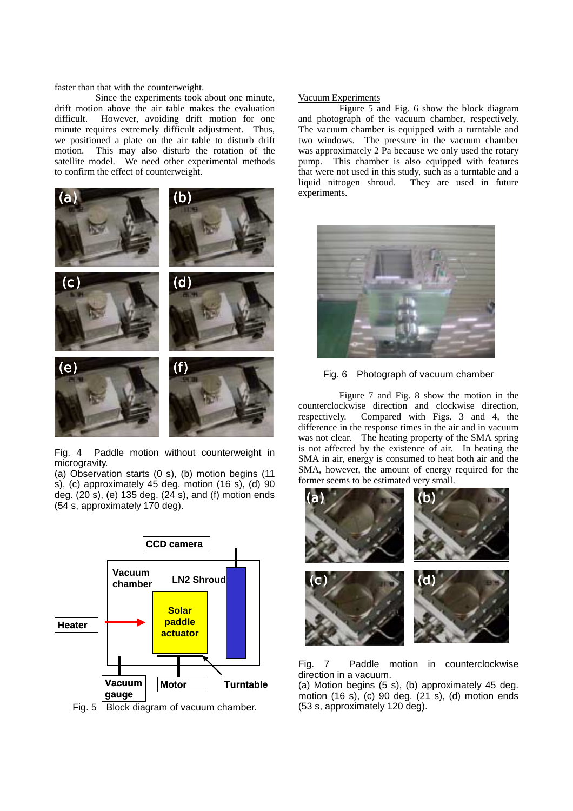faster than that with the counterweight.

Since the experiments took about one minute, drift motion above the air table makes the evaluation difficult. However, avoiding drift motion for one minute requires extremely difficult adjustment. Thus, we positioned a plate on the air table to disturb drift motion. This may also disturb the rotation of the satellite model. We need other experimental methods to confirm the effect of counterweight.



Fig. 4 Paddle motion without counterweight in microgravity.

(a) Observation starts (0 s), (b) motion begins (11 s), (c) approximately 45 deg. motion (16 s), (d) 90 deg. (20 s), (e) 135 deg. (24 s), and (f) motion ends (54 s, approximately 170 deg).



Fig. 5 Block diagram of vacuum chamber.

## Vacuum Experiments

 Figure 5 and Fig. 6 show the block diagram and photograph of the vacuum chamber, respectively. The vacuum chamber is equipped with a turntable and two windows. The pressure in the vacuum chamber was approximately 2 Pa because we only used the rotary pump. This chamber is also equipped with features that were not used in this study, such as a turntable and a liquid nitrogen shroud. They are used in future experiments.





 Figure 7 and Fig. 8 show the motion in the counterclockwise direction and clockwise direction, respectively. Compared with Figs. 3 and 4, the difference in the response times in the air and in vacuum was not clear. The heating property of the SMA spring is not affected by the existence of air. In heating the SMA in air, energy is consumed to heat both air and the SMA, however, the amount of energy required for the former seems to be estimated very small.



Fig. 7 Paddle motion in counterclockwise direction in a vacuum.

(a) Motion begins (5 s), (b) approximately 45 deg. motion (16 s), (c) 90 deg. (21 s), (d) motion ends (53 s, approximately 120 deg).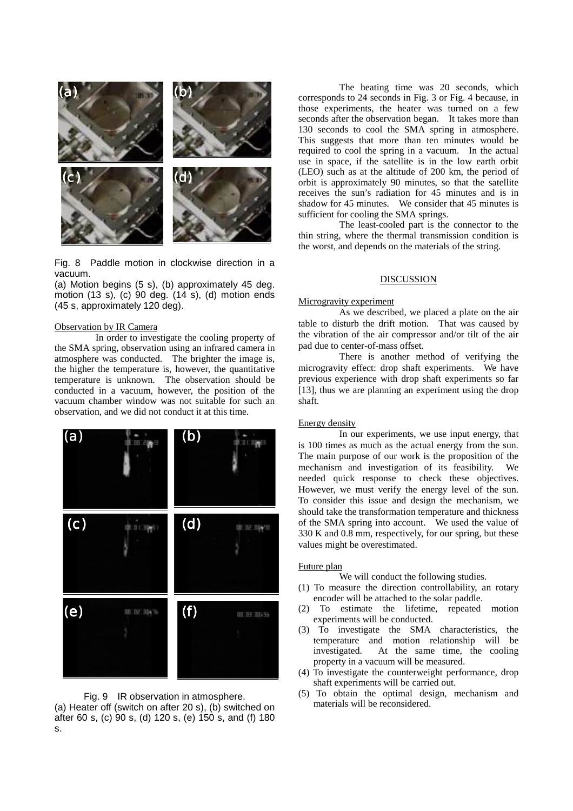

Fig. 8 Paddle motion in clockwise direction in a vacuum.

(a) Motion begins (5 s), (b) approximately 45 deg. motion (13 s), (c) 90 deg. (14 s), (d) motion ends (45 s, approximately 120 deg).

## Observation by IR Camera

 In order to investigate the cooling property of the SMA spring, observation using an infrared camera in atmosphere was conducted. The brighter the image is, the higher the temperature is, however, the quantitative temperature is unknown. The observation should be conducted in a vacuum, however, the position of the vacuum chamber window was not suitable for such an observation, and we did not conduct it at this time.



Fig. 9 IR observation in atmosphere. (a) Heater off (switch on after 20 s), (b) switched on after 60 s, (c) 90 s, (d) 120 s, (e) 150 s, and (f) 180 s.

The heating time was 20 seconds, which corresponds to 24 seconds in Fig. 3 or Fig. 4 because, in those experiments, the heater was turned on a few seconds after the observation began. It takes more than 130 seconds to cool the SMA spring in atmosphere. This suggests that more than ten minutes would be required to cool the spring in a vacuum. In the actual use in space, if the satellite is in the low earth orbit (LEO) such as at the altitude of 200 km, the period of orbit is approximately 90 minutes, so that the satellite receives the sun's radiation for 45 minutes and is in shadow for 45 minutes. We consider that 45 minutes is sufficient for cooling the SMA springs.

 The least-cooled part is the connector to the thin string, where the thermal transmission condition is the worst, and depends on the materials of the string.

# **DISCUSSION**

#### Microgravity experiment

 As we described, we placed a plate on the air table to disturb the drift motion. That was caused by the vibration of the air compressor and/or tilt of the air pad due to center-of-mass offset.

 There is another method of verifying the microgravity effect: drop shaft experiments. We have previous experience with drop shaft experiments so far [13], thus we are planning an experiment using the drop shaft.

## Energy density

 In our experiments, we use input energy, that is 100 times as much as the actual energy from the sun. The main purpose of our work is the proposition of the mechanism and investigation of its feasibility. We needed quick response to check these objectives. However, we must verify the energy level of the sun. To consider this issue and design the mechanism, we should take the transformation temperature and thickness of the SMA spring into account. We used the value of 330 K and 0.8 mm, respectively, for our spring, but these values might be overestimated.

#### Future plan

We will conduct the following studies.

- (1) To measure the direction controllability, an rotary encoder will be attached to the solar paddle.
- (2) To estimate the lifetime, repeated motion experiments will be conducted.
- (3) To investigate the SMA characteristics, the temperature and motion relationship will be investigated. At the same time, the cooling property in a vacuum will be measured.
- (4) To investigate the counterweight performance, drop shaft experiments will be carried out.
- (5) To obtain the optimal design, mechanism and materials will be reconsidered.